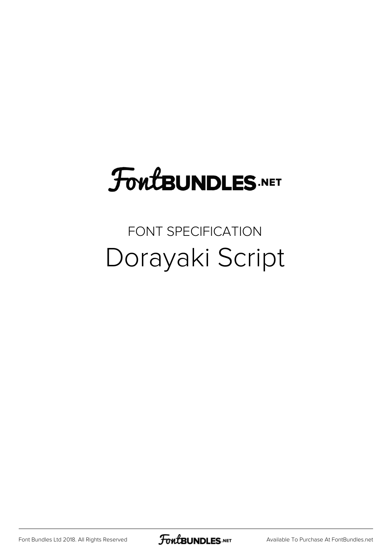## **FoutBUNDLES.NET**

### FONT SPECIFICATION Dorayaki Script

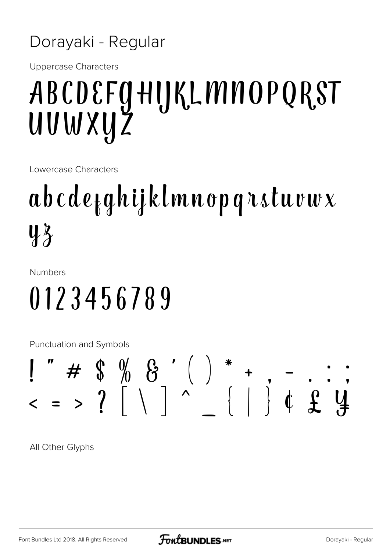#### Dorayaki - Regular

Uppercase Characters

## ABCDEFGHIJKLMNOPQRST UVWXYZ

Lowercase Characters

# abcdefghijklmnopqrstuvwx  $4\overline{2}$

Numbers

## 0123456789

Punctuation and Symbols

## $\blacksquare$  " #  $\lozenge$   $\lozenge$   $\lozenge$   $\lozenge$   $\lozenge$   $\lozenge$   $\lozenge$   $\lozenge$   $\lozenge$   $\lozenge$   $\lozenge$   $\lozenge$   $\lozenge$   $\lozenge$   $\lozenge$   $\lozenge$   $\lozenge$   $\lozenge$   $\lozenge$   $\lozenge$   $\lozenge$   $\lozenge$   $\lozenge$   $\lozenge$   $\lozenge$   $\lozenge$   $\lozenge$   $\lozenge$   $\lozenge$   $\lozenge$  < = > ? [ \ ] ^ \_ { | } ¢ £ ¥

All Other Glyphs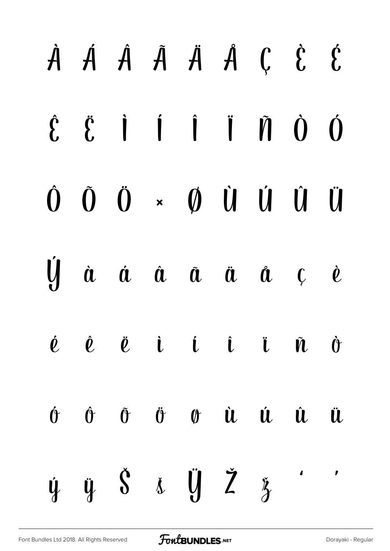### $\dot{A}$   $\dot{A}$   $\dot{A}$   $\ddot{A}$   $\dot{A}$   $\dot{C}$   $\dot{C}$  $\ddot{\mathbf{g}}$  i i i  $\ddot{\mathbf{n}}$  d  $\hat{\mathbf{f}}$  $\mathbf{0}$  $\hat{0}$  $\tilde{0}$   $\ddot{0}$   $\times$   $\dot{0}$   $\dot{0}$   $\dot{0}$   $\dot{0}$ Ü Ų à á â ã ä  $\mathbf{\hat{a}}$   $\mathbf{c}$  $\dot{\ell}$  $\mathbf{i}$   $\mathbf{i}$   $\mathbf{j}$   $\mathbf{k}$  $\hat{\bm{\ell}}$   $\ddot{\bm{\ell}}$  $\boldsymbol{\dot{\ell}}$  $\tilde{\bm{N}}$  $\dot{v}$  $\hat{\theta} \quad \tilde{\theta} \quad \tilde{\theta} \quad \theta \quad \hat{\mathbf{u}} \quad \hat{\mathbf{u}} \quad \hat{\mathbf{u}}$  $\hat{\mathbf{\theta}}$ **il**  $\ddot{y}$   $\dot{S}$   $\dot{x}$   $\ddot{y}$   $\ddot{Z}$  $\mathbf{r}$  $\lambda$ Ý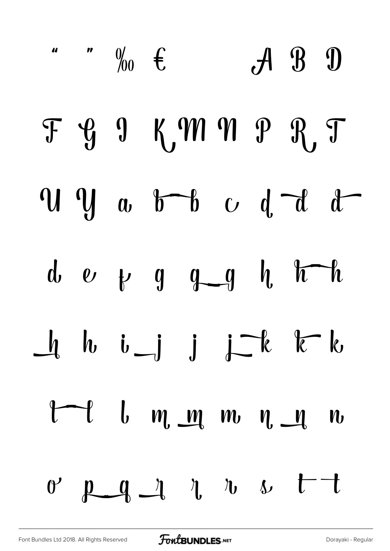|  | $\int_{0}^{\pi}$ $\int_{0}^{\pi}$ $\int_{0}^{\pi}$ |  |  | $A$ $B$ $D$ |                                                                                                                         |
|--|----------------------------------------------------|--|--|-------------|-------------------------------------------------------------------------------------------------------------------------|
|  | F G 9 KM N P R T                                   |  |  |             |                                                                                                                         |
|  |                                                    |  |  |             | $\overline{u}$ $\overline{y}$ $\overline{u}$ $\overline{b}$ $\overline{b}$ $\overline{c}$ $\overline{d}$ $\overline{d}$ |
|  | d $e$ $v$ $g$ $g$ $g$ $h$ $h$                      |  |  |             |                                                                                                                         |
|  | $\bigcup_{i=1}^k b_i$ is just the line             |  |  |             |                                                                                                                         |
|  | $t-t$ $l$ $m$ $m$ $n$ $n$ $n$                      |  |  |             |                                                                                                                         |
|  | $0'$ $p_q$ $q$ $r$ $r$ $s$ $t$                     |  |  |             |                                                                                                                         |